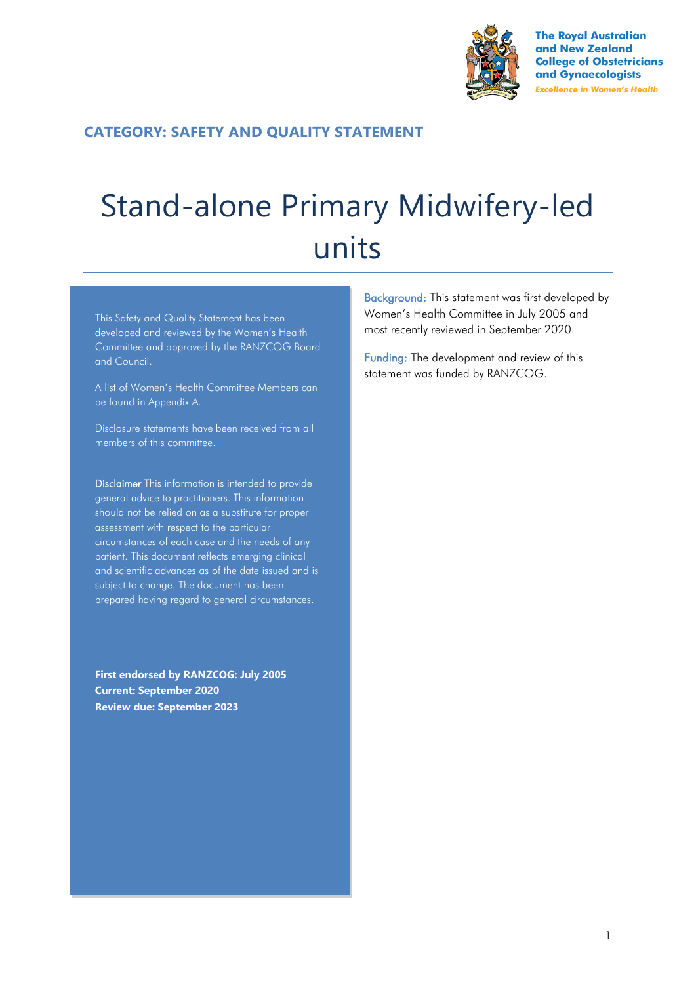

**The Royal Australian** and New Zealand **College of Obstetricians** and Gynaecologists **Excellence in Women's Health** 

### **CATEGORY: SAFETY AND QUALITY STATEMENT**

# Stand-alone Primary Midwifery-led units

This Safety and Quality Statement has been developed and reviewed by the Women's Health Committee and approved by the RANZCOG Board and Council.

A list of Women's Health Committee Members can be found in Appendix A.

Disclosure statements have been received from all members of this committee.

Disclaimer This information is intended to provide general advice to practitioners. This information should not be relied on as a substitute for proper assessment with respect to the particular circumstances of each case and the needs of any patient. This document reflects emerging clinical and scientific advances as of the date issued and is subject to change. The document has been prepared having regard to general circumstances.

**First endorsed by RANZCOG: July 2005 Current: September 2020 Review due: September 2023** 

Background: This statement was first developed by Women's Health Committee in July 2005 and most recently reviewed in September 2020.

Funding: The development and review of this statement was funded by RANZCOG.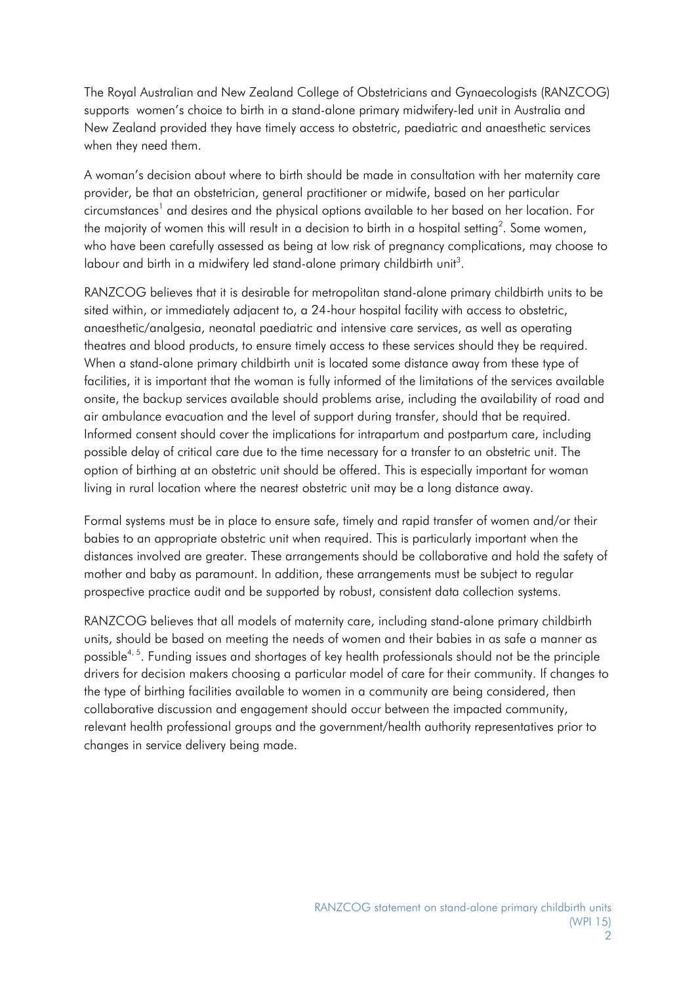The Royal Australian and New Zealand College of Obstetricians and Gynaecologists (RANZCOG) supports women's choice to birth in a stand-alone primary midwifery-led unit in Australia and New Zealand provided they have timely access to obstetric, paediatric and anaesthetic services when they need them.

A woman's decision about where to birth should be made in consultation with her maternity care provider, be that an obstetrician, general practitioner or midwife, based on her particular circum[s](#page-2-0)tances<sup>1</sup> and desires and the physical options available to her based on her location. For the majority of women this will result in a decision to birth in a hospital settin[g](#page-2-1)<sup>2</sup>. Some women, who have been carefully assessed as being at low risk of pregnancy complications, may choose to labour and bir[t](#page-2-2)h in a midwifery led stand-alone primary childbirth unit<sup>3</sup>.

RANZCOG believes that it is desirable for metropolitan stand-alone primary childbirth units to be sited within, or immediately adjacent to, a 24-hour hospital facility with access to obstetric, anaesthetic/analgesia, neonatal paediatric and intensive care services, as well as operating theatres and blood products, to ensure timely access to these services should they be required. When a stand-alone primary childbirth unit is located some distance away from these type of facilities, it is important that the woman is fully informed of the limitations of the services available onsite, the backup services available should problems arise, including the availability of road and air ambulance evacuation and the level of support during transfer, should that be required. Informed consent should cover the implications for intrapartum and postpartum care, including possible delay of critical care due to the time necessary for a transfer to an obstetric unit. The option of birthing at an obstetric unit should be offered. This is especially important for woman living in rural location where the nearest obstetric unit may be a long distance away.

Formal systems must be in place to ensure safe, timely and rapid transfer of women and/or their babies to an appropriate obstetric unit when required. This is particularly important when the distances involved are greater. These arrangements should be collaborative and hold the safety of mother and baby as paramount. In addition, these arrangements must be subject to regular prospective practice audit and be supported by robust, consistent data collection systems.

RANZCOG believes that all models of maternity care, including stand-alone primary childbirth units, should be based on meeting the needs of women and their babies in as safe a manner as possibl[e](#page-2-3)<sup>4, 5</sup>[.](#page-2-4) Funding issues and shortages of key health professionals should not be the principle drivers for decision makers choosing a particular model of care for their community. If changes to the type of birthing facilities available to women in a community are being considered, then collaborative discussion and engagement should occur between the impacted community, relevant health professional groups and the government/health authority representatives prior to changes in service delivery being made.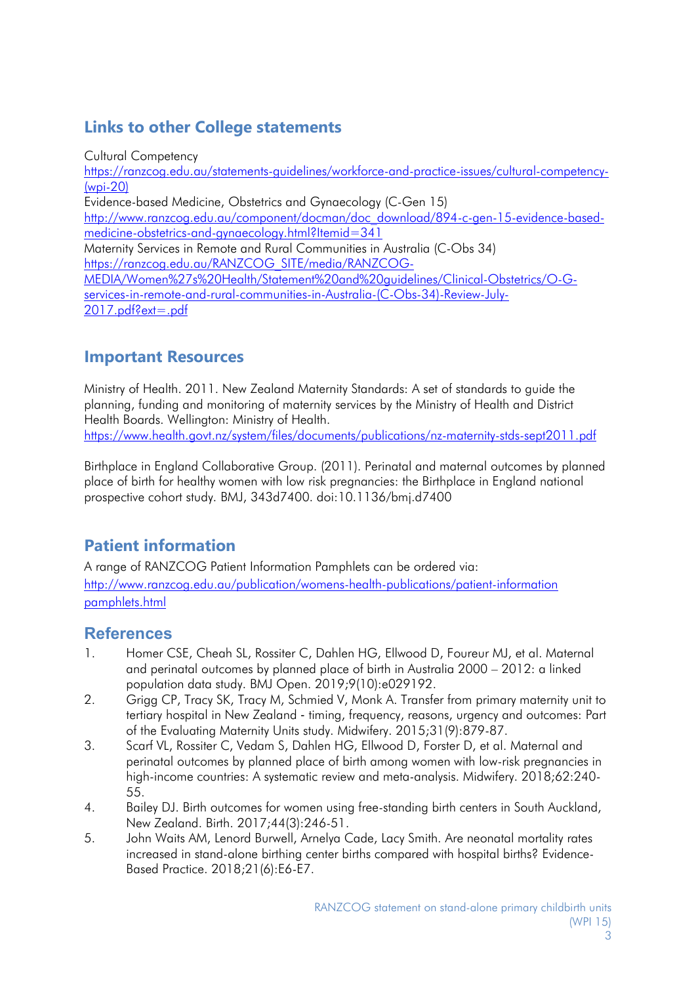# **Links to other College statements**

Cultural Competency [https://ranzcog.edu.au/statements-guidelines/workforce-and-practice-issues/cultural-competency-](https://ranzcog.edu.au/statements-guidelines/workforce-and-practice-issues/cultural-competency-(wpi-20)) [\(wpi-20\)](https://ranzcog.edu.au/statements-guidelines/workforce-and-practice-issues/cultural-competency-(wpi-20)) Evidence-based Medicine, Obstetrics and Gynaecology (C-Gen 15) [http://www.ranzcog.edu.au/component/docman/doc\\_download/894-c-gen-15-evidence-based](http://www.ranzcog.edu.au/component/docman/doc_download/894-c-gen-15-evidence-based-medicine-obstetrics-and-gynaecology.html?Itemid=341)[medicine-obstetrics-and-gynaecology.html?Itemid=341](http://www.ranzcog.edu.au/component/docman/doc_download/894-c-gen-15-evidence-based-medicine-obstetrics-and-gynaecology.html?Itemid=341) [Maternity Services in Remote and Rural Communities in Australia \(C-Obs 34\)](http://www.ranzcog.edu.au/doc/maternity-services-in-remote-and-rural-communities-in-australia.html)  [https://ranzcog.edu.au/RANZCOG\\_SITE/media/RANZCOG-](https://ranzcog.edu.au/RANZCOG_SITE/media/RANZCOG-MEDIA/Women%27s%20Health/Statement%20and%20guidelines/Clinical-Obstetrics/O-G-services-in-remote-and-rural-communities-in-Australia-(C-Obs-34)-Review-July-2017.pdf?ext=.pdf)[MEDIA/Women%27s%20Health/Statement%20and%20guidelines/Clinical-Obstetrics/O-G](https://ranzcog.edu.au/RANZCOG_SITE/media/RANZCOG-MEDIA/Women%27s%20Health/Statement%20and%20guidelines/Clinical-Obstetrics/O-G-services-in-remote-and-rural-communities-in-Australia-(C-Obs-34)-Review-July-2017.pdf?ext=.pdf)[services-in-remote-and-rural-communities-in-Australia-\(C-Obs-34\)-Review-July-](https://ranzcog.edu.au/RANZCOG_SITE/media/RANZCOG-MEDIA/Women%27s%20Health/Statement%20and%20guidelines/Clinical-Obstetrics/O-G-services-in-remote-and-rural-communities-in-Australia-(C-Obs-34)-Review-July-2017.pdf?ext=.pdf)[2017.pdf?ext=.pdf](https://ranzcog.edu.au/RANZCOG_SITE/media/RANZCOG-MEDIA/Women%27s%20Health/Statement%20and%20guidelines/Clinical-Obstetrics/O-G-services-in-remote-and-rural-communities-in-Australia-(C-Obs-34)-Review-July-2017.pdf?ext=.pdf)

## **Important Resources**

Ministry of Health. 2011. New Zealand Maternity Standards: A set of standards to guide the planning, funding and monitoring of maternity services by the Ministry of Health and District Health Boards. Wellington: Ministry of Health. <https://www.health.govt.nz/system/files/documents/publications/nz-maternity-stds-sept2011.pdf>

Birthplace in England Collaborative Group. (2011). Perinatal and maternal outcomes by planned place of birth for healthy women with low risk pregnancies: the Birthplace in England national prospective cohort study. BMJ, 343d7400. doi:10.1136/bmj.d7400

# **Patient information**

A range of RANZCOG Patient Information Pamphlets can be ordered via: [http://www.ranzcog.edu.au/publication/womens-health-publications/patient-information](http://www.ranzcog.edu.au/publication/womens-health-publications/patient-information%20pamphlets.html)  [pamphlets.html](http://www.ranzcog.edu.au/publication/womens-health-publications/patient-information%20pamphlets.html)

### **References**

- <span id="page-2-0"></span>1. Homer CSE, Cheah SL, Rossiter C, Dahlen HG, Ellwood D, Foureur MJ, et al. Maternal and perinatal outcomes by planned place of birth in Australia 2000 – 2012: a linked population data study. BMJ Open. 2019;9(10):e029192.
- <span id="page-2-1"></span>2. Grigg CP, Tracy SK, Tracy M, Schmied V, Monk A. Transfer from primary maternity unit to tertiary hospital in New Zealand ‐ timing, frequency, reasons, urgency and outcomes: Part of the Evaluating Maternity Units study. Midwifery. 2015;31(9):879-87.
- <span id="page-2-2"></span>3. Scarf VL, Rossiter C, Vedam S, Dahlen HG, Ellwood D, Forster D, et al. Maternal and perinatal outcomes by planned place of birth among women with low-risk pregnancies in high-income countries: A systematic review and meta-analysis. Midwifery. 2018;62:240- 55.
- <span id="page-2-3"></span>4. Bailey DJ. Birth outcomes for women using free-standing birth centers in South Auckland, New Zealand. Birth. 2017;44(3):246-51.
- <span id="page-2-4"></span>5. John Waits AM, Lenord Burwell, Arnelya Cade, Lacy Smith. Are neonatal mortality rates increased in stand-alone birthing center births compared with hospital births? Evidence-Based Practice. 2018;21(6):E6-E7.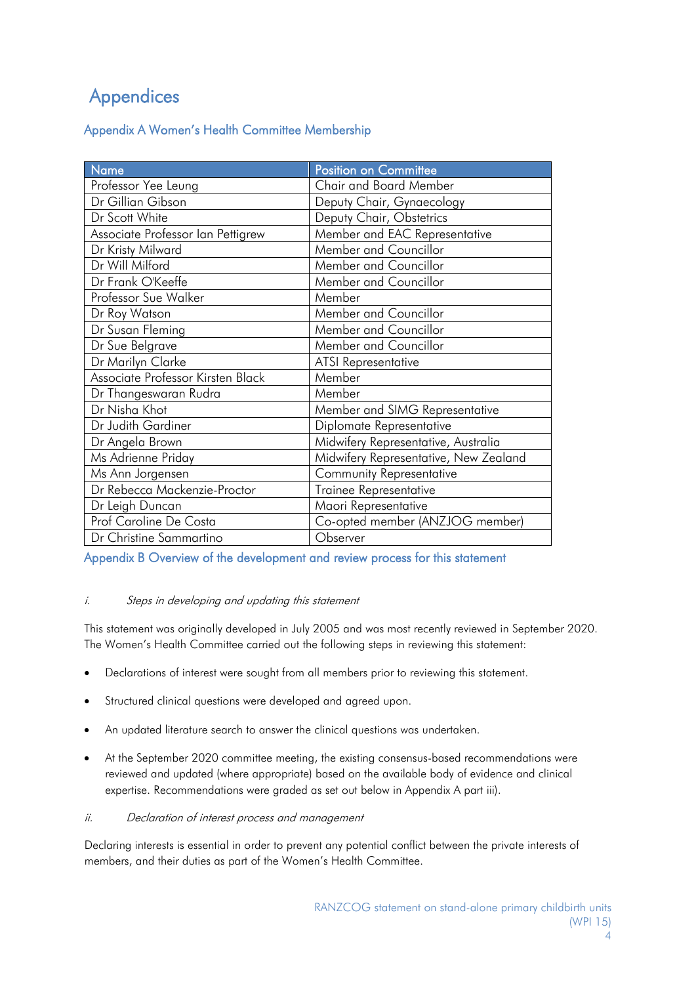# Appendices

### Appendix A Women's Health Committee Membership

| Name                              | <b>Position on Committee</b>          |
|-----------------------------------|---------------------------------------|
| Professor Yee Leung               | <b>Chair and Board Member</b>         |
| Dr Gillian Gibson                 | Deputy Chair, Gynaecology             |
| Dr Scott White                    | Deputy Chair, Obstetrics              |
| Associate Professor Ian Pettigrew | Member and EAC Representative         |
| Dr Kristy Milward                 | Member and Councillor                 |
| Dr Will Milford                   | Member and Councillor                 |
| Dr Frank O'Keeffe                 | Member and Councillor                 |
| Professor Sue Walker              | Member                                |
| Dr Roy Watson                     | Member and Councillor                 |
| Dr Susan Fleming                  | Member and Councillor                 |
| Dr Sue Belgrave                   | Member and Councillor                 |
| Dr Marilyn Clarke                 | <b>ATSI Representative</b>            |
| Associate Professor Kirsten Black | Member                                |
| Dr Thangeswaran Rudra             | Member                                |
| Dr Nisha Khot                     | Member and SIMG Representative        |
| Dr Judith Gardiner                | Diplomate Representative              |
| Dr Angela Brown                   | Midwifery Representative, Australia   |
| Ms Adrienne Priday                | Midwifery Representative, New Zealand |
| Ms Ann Jorgensen                  | Community Representative              |
| Dr Rebecca Mackenzie-Proctor      | Trainee Representative                |
| Dr Leigh Duncan                   | Maori Representative                  |
| Prof Caroline De Costa            | Co-opted member (ANZJOG member)       |
| Dr Christine Sammartino           | Observer                              |

Appendix B Overview of the development and review process for this statement

### i. Steps in developing and updating this statement

This statement was originally developed in July 2005 and was most recently reviewed in September 2020. The Women's Health Committee carried out the following steps in reviewing this statement:

- Declarations of interest were sought from all members prior to reviewing this statement.
- Structured clinical questions were developed and agreed upon.
- An updated literature search to answer the clinical questions was undertaken.
- At the September 2020 committee meeting, the existing consensus-based recommendations were reviewed and updated (where appropriate) based on the available body of evidence and clinical expertise. Recommendations were graded as set out below in Appendix A part iii).

#### ii. Declaration of interest process and management

Declaring interests is essential in order to prevent any potential conflict between the private interests of members, and their duties as part of the Women's Health Committee.